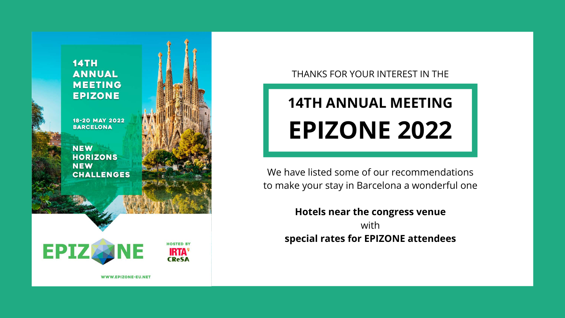

#### THANKS FOR YOUR INTEREST IN THE

# **14TH ANNUAL MEETING EPIZONE 2022**

We have listed some of our recommendations to make your stay in Barcelona a wonderful one

with

**Hotels near the congress venue special rates for EPIZONE attendees**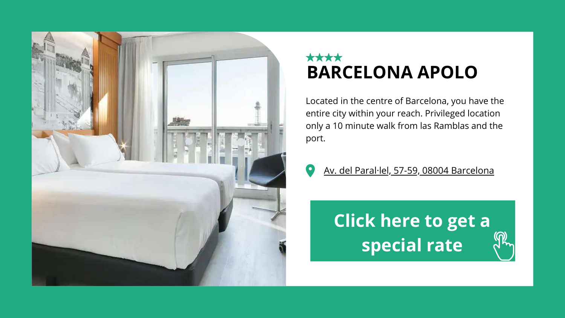## **BARCELONA APOLO**

**Click here to get a [special](https://events.melia.com/es/events/hotel-barcelona-apolo-by-melia/Epizone.html) rate**





Located in the centre of Barcelona, you have the entire city within your reach. Privileged location only a 10 minute walk from las Ramblas and the port.



Av. del Paral·lel, 57-59, 08004 [Barcelona](https://goo.gl/maps/tFNhgnakZ7iDmmNF6)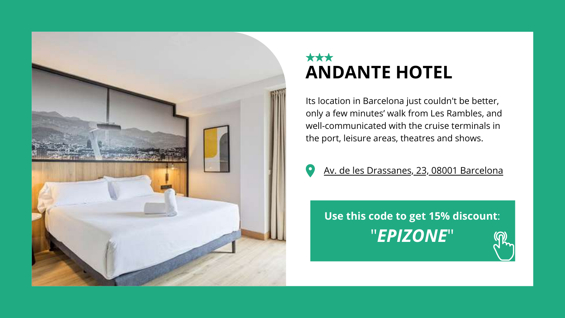

#### \*\*\* **ANDANTE HOTEL**

**Use this code to get 15% [discount](https://andantehotel.com/en)**: "*[EPIZONE](https://andantehotel.com/en)*"

Its location in Barcelona just couldn't be better, only a few minutes' walk from Les Rambles, and well-communicated with the cruise terminals in the port, leisure areas, theatres and shows.



Av. de les [Drassanes,](https://g.page/andantehotelbcn?share) 23, 08001 Barcelona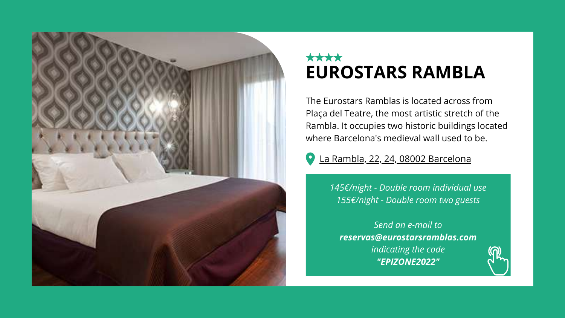

#### \*\*\*\* **EUROSTARS RAMBLA**

*[145€/night - Double room individual use](mailto:reservas@eurostarsramblas.com) [155€/night - Double room two guests](mailto:reservas@eurostarsramblas.com)*

*[Send an e-mail to](mailto:reservas@eurostarsramblas.com) [reservas@eurostarsramblas.com](mailto:reservas@eurostarsramblas.com) [indicating the code](mailto:reservas@eurostarsramblas.com) ["EPIZONE2022"](mailto:reservas@eurostarsramblas.com)*



#### La Rambla, 22, 24, 08002 [Barcelona](https://g.page/eurostars-ramblas-barcelona?share)

The Eurostars Ramblas is located across from Plaça del Teatre, the most artistic stretch of the Rambla. It occupies two historic buildings located where Barcelona's medieval wall used to be.

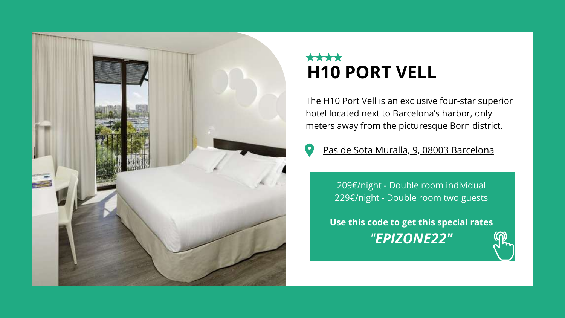

## \*\*\*\* **H10 PORT VELL**

[209€/night - Double room individual](https://www.h10hotels.com/en/barcelona-hotels/h10-port-vell) [229€/night - Double room two guests](https://www.h10hotels.com/en/barcelona-hotels/h10-port-vell)

**[Use this code to get this special rates](https://www.h10hotels.com/en/barcelona-hotels/h10-port-vell)** *["](https://www.h10hotels.com/en/barcelona-hotels/h10-port-vell)[EPIZONE22"](https://www.h10hotels.com/en/barcelona-hotels/h10-port-vell)*

The H10 Port Vell is an exclusive four-star superior hotel located next to Barcelona's harbor, only meters away from the picturesque Born district.



#### Pas de Sota Muralla, 9, 08003 [Barcelona](https://g.page/h10-port-vell?share)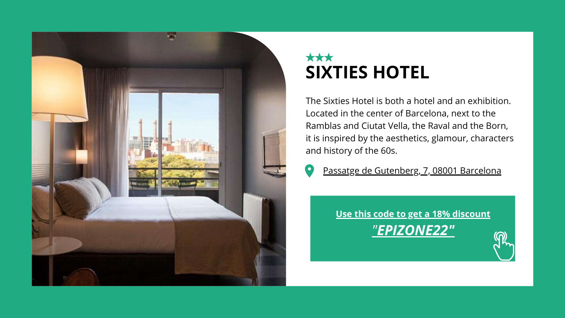

## \*\*\* **SIXTIES HOTEL**

**[Use this code to get a 18% discount](https://www.hotelsixties.com/en/)** *["](https://www.hotelsixties.com/en/)[EPIZONE22"](https://www.hotelsixties.com/en/)*

The Sixties Hotel is both a hotel and an exhibition. Located in the center of Barcelona, next to the Ramblas and Ciutat Vella, the Raval and the Born, it is inspired by the aesthetics, glamour, characters and history of the 60s.



[Passatge de Gutenberg, 7, 08001 Barcelona](https://g.page/hotelsixties?share)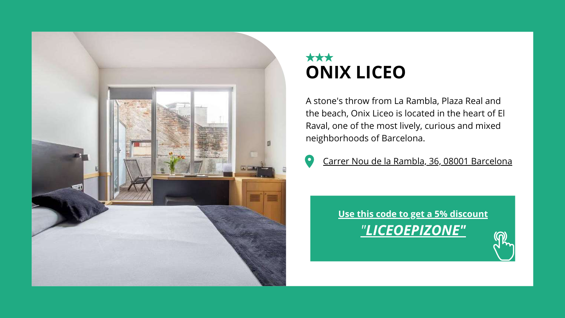

#### \*\*\* **ONIX LICEO**

**[Use this code to get a 5% discount](http://www.onixhotels.com/)** *["](http://www.onixhotels.com/)[LICEOEPIZONE"](http://www.onixhotels.com/)*

A stone's throw from La Rambla, Plaza Real and the beach, Onix Liceo is located in the heart of El Raval, one of the most lively, curious and mixed neighborhoods of Barcelona.



[Carrer Nou de la Rambla, 36, 08001 Barcelona](https://goo.gl/maps/6PrPeuyK192mdkEP9)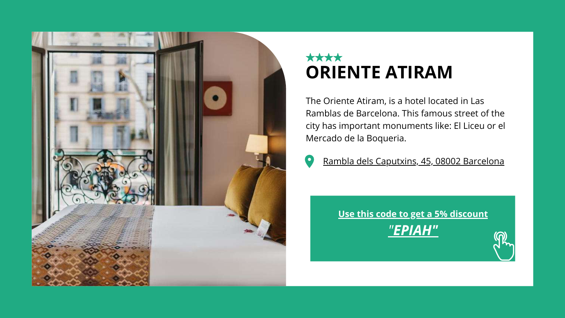

### \*\*\*\* **ORIENTE ATIRAM**

**[Use this code to get a 5% discount](https://www.atiramhotels.com/hoteles/barcelona/hotel-oriente-atiram-ramblas/)** *["](https://www.atiramhotels.com/hoteles/barcelona/hotel-oriente-atiram-ramblas/)[EPIAH"](https://www.atiramhotels.com/hoteles/barcelona/hotel-oriente-atiram-ramblas/)*

The Oriente Atiram, is a hotel located in Las Ramblas de Barcelona. This famous street of the city has important monuments like: El Liceu or el Mercado de la Boqueria.



[Rambla dels Caputxins, 45, 08002 Barcelona](https://g.page/OrienteAtiramHotel?share)